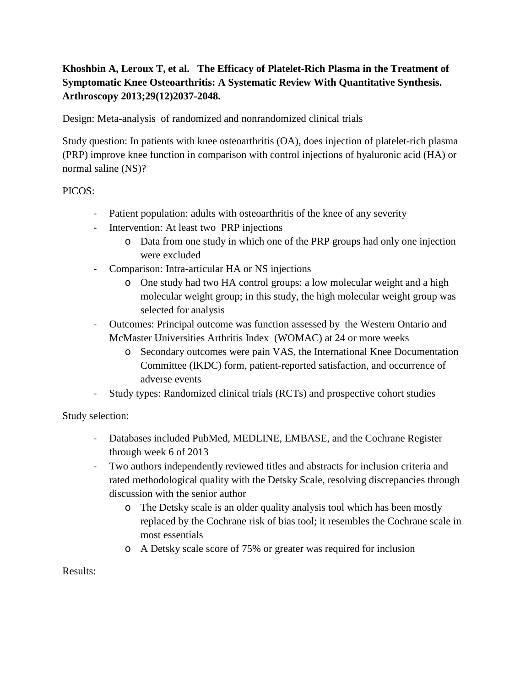## **Khoshbin A, Leroux T, et al. The Efficacy of Platelet-Rich Plasma in the Treatment of Symptomatic Knee Osteoarthritis: A Systematic Review With Quantitative Synthesis. Arthroscopy 2013;29(12)2037-2048.**

Design: Meta-analysis of randomized and nonrandomized clinical trials

Study question: In patients with knee osteoarthritis (OA), does injection of platelet-rich plasma (PRP) improve knee function in comparison with control injections of hyaluronic acid (HA) or normal saline (NS)?

PICOS:

- Patient population: adults with osteoarthritis of the knee of any severity
- Intervention: At least two PRP injections
	- o Data from one study in which one of the PRP groups had only one injection were excluded
- Comparison: Intra-articular HA or NS injections
	- o One study had two HA control groups: a low molecular weight and a high molecular weight group; in this study, the high molecular weight group was selected for analysis
- Outcomes: Principal outcome was function assessed by the Western Ontario and McMaster Universities Arthritis Index (WOMAC) at 24 or more weeks
	- o Secondary outcomes were pain VAS, the International Knee Documentation Committee (IKDC) form, patient-reported satisfaction, and occurrence of adverse events
- Study types: Randomized clinical trials (RCTs) and prospective cohort studies

Study selection:

- Databases included PubMed, MEDLINE, EMBASE, and the Cochrane Register through week 6 of 2013
- Two authors independently reviewed titles and abstracts for inclusion criteria and rated methodological quality with the Detsky Scale, resolving discrepancies through discussion with the senior author
	- o The Detsky scale is an older quality analysis tool which has been mostly replaced by the Cochrane risk of bias tool; it resembles the Cochrane scale in most essentials
	- o A Detsky scale score of 75% or greater was required for inclusion

Results: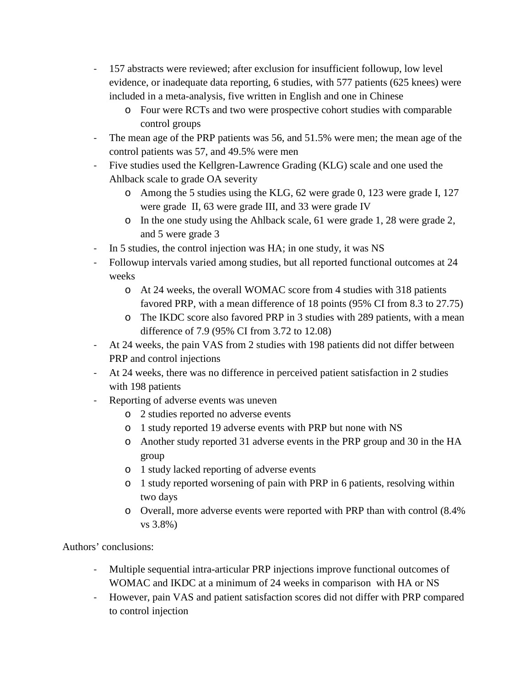- 157 abstracts were reviewed; after exclusion for insufficient followup, low level evidence, or inadequate data reporting, 6 studies, with 577 patients (625 knees) were included in a meta-analysis, five written in English and one in Chinese
	- o Four were RCTs and two were prospective cohort studies with comparable control groups
- The mean age of the PRP patients was 56, and 51.5% were men; the mean age of the control patients was 57, and 49.5% were men
- Five studies used the Kellgren-Lawrence Grading (KLG) scale and one used the Ahlback scale to grade OA severity
	- o Among the 5 studies using the KLG, 62 were grade 0, 123 were grade I, 127 were grade II, 63 were grade III, and 33 were grade IV
	- o In the one study using the Ahlback scale, 61 were grade 1, 28 were grade 2, and 5 were grade 3
- In 5 studies, the control injection was HA; in one study, it was NS
- Followup intervals varied among studies, but all reported functional outcomes at 24 weeks
	- o At 24 weeks, the overall WOMAC score from 4 studies with 318 patients favored PRP, with a mean difference of 18 points (95% CI from 8.3 to 27.75)
	- o The IKDC score also favored PRP in 3 studies with 289 patients, with a mean difference of 7.9 (95% CI from 3.72 to 12.08)
- At 24 weeks, the pain VAS from 2 studies with 198 patients did not differ between PRP and control injections
- At 24 weeks, there was no difference in perceived patient satisfaction in 2 studies with 198 patients
- Reporting of adverse events was uneven
	- o 2 studies reported no adverse events
	- o 1 study reported 19 adverse events with PRP but none with NS
	- o Another study reported 31 adverse events in the PRP group and 30 in the HA group
	- o 1 study lacked reporting of adverse events
	- o 1 study reported worsening of pain with PRP in 6 patients, resolving within two days
	- o Overall, more adverse events were reported with PRP than with control (8.4% vs 3.8%)

Authors' conclusions:

- Multiple sequential intra-articular PRP injections improve functional outcomes of WOMAC and IKDC at a minimum of 24 weeks in comparison with HA or NS
- However, pain VAS and patient satisfaction scores did not differ with PRP compared to control injection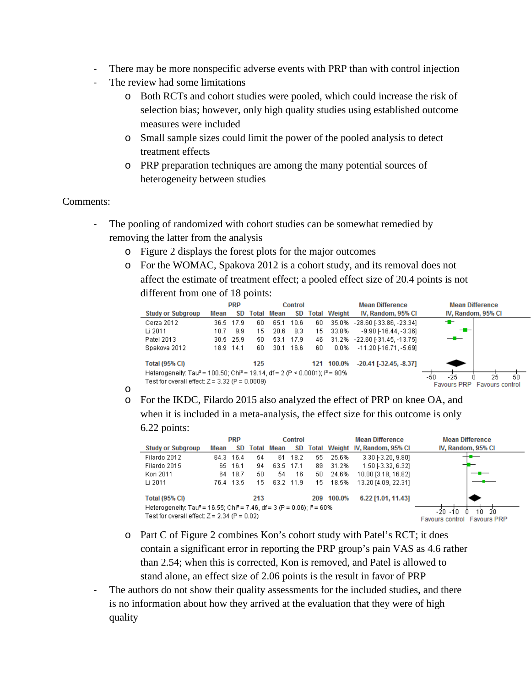- There may be more nonspecific adverse events with PRP than with control injection
- The review had some limitations
	- o Both RCTs and cohort studies were pooled, which could increase the risk of selection bias; however, only high quality studies using established outcome measures were included
	- o Small sample sizes could limit the power of the pooled analysis to detect treatment effects
	- o PRP preparation techniques are among the many potential sources of heterogeneity between studies

## Comments:

- The pooling of randomized with cohort studies can be somewhat remedied by removing the latter from the analysis
	- o Figure 2 displays the forest plots for the major outcomes
	- o For the WOMAC, Spakova 2012 is a cohort study, and its removal does not affect the estimate of treatment effect; a pooled effect size of 20.4 points is not different from one of 18 points:

|                                                                                                     |                             | <b>PRP</b> |     | Control           |       |    | <b>Mean Difference</b> |                                 | <b>Mean Difference</b> |  |
|-----------------------------------------------------------------------------------------------------|-----------------------------|------------|-----|-------------------|-------|----|------------------------|---------------------------------|------------------------|--|
| <b>Study or Subgroup</b>                                                                            | Mean                        | SD.        |     | <b>Total Mean</b> | SD    |    | <b>Total Weight</b>    | IV, Random, 95% CI              | IV, Random, 95% CI     |  |
| Cerza 2012                                                                                          |                             | 36.5 17.9  | 60  | 65.1              | 10.6  | 60 | 35.0%                  | -28.60 [-33.86, -23.34]         | ╼                      |  |
| Li 2011                                                                                             | 10 Z                        | 9.9        | 15  | 20.6              | 8.3   | 15 | 33.8%                  | $-9.90$ $-16.44$ . $-3.361$     | $-$                    |  |
| Patel 2013                                                                                          |                             | 30.5 25.9  | 50  | -53.1             | -17.9 | 46 |                        | 31.2% - 22.60 [-31.45, -13.75]  | —                      |  |
| Spakova 2012                                                                                        |                             | 18.9 14.1  | 60  | 30.1              | 16.6  | 60 | $0.0\%$                | $-11.20$ [-16.71, -5.69]        |                        |  |
| <b>Total (95% CI)</b>                                                                               |                             |            | 125 |                   |       |    | 121 100.0%             | $-20.41$ [ $-32.45$ , $-8.37$ ] |                        |  |
| Heterogeneity: Tau <sup>2</sup> = 100.50; Chi <sup>2</sup> = 19.14, df = 2 (P < 0.0001); $P = 90\%$ | 50<br>-25<br>25<br>-50      |            |     |                   |       |    |                        |                                 |                        |  |
| Test for overall effect: $Z = 3.32$ (P = 0.0009)                                                    | Favours PRP Favours control |            |     |                   |       |    |                        |                                 |                        |  |

- o
- o For the IKDC, Filardo 2015 also analyzed the effect of PRP on knee OA, and when it is included in a meta-analysis, the effect size for this outcome is only

## 6.22 points:

|                                                                                                           |                             | <b>PRP</b> |     | Control           |           |     | <b>Mean Difference</b> |                                    | <b>Mean Difference</b> |
|-----------------------------------------------------------------------------------------------------------|-----------------------------|------------|-----|-------------------|-----------|-----|------------------------|------------------------------------|------------------------|
| <b>Study or Subgroup</b>                                                                                  | Mean                        | SD         |     | <b>Total Mean</b> | SD.       |     |                        | Total Weight IV, Random, 95% CI    | IV, Random, 95% CI     |
| Filardo 2012                                                                                              |                             | 64.3 16.4  | 54  | 61                | 18.2      | 55  | 25.6%                  | 3.30 [-3.20, 9.80]                 |                        |
| Filardo 2015                                                                                              | 65.                         | -16.1      | 94  | 63.5 17.1         |           | 89  | 31.2%                  | 1.50 [-3.32, 6.32]                 |                        |
| Kon 2011                                                                                                  |                             | 64 18.7    | 50  | 54                | 16        | 50. | 24.6%                  | 10.00 [3.18, 16.82]                |                        |
| Li 2011                                                                                                   |                             | 76.4 13.5  | 15  |                   | 63.2 11.9 | 15  | 18.5%                  | 13.20 [4.09, 22.31]                |                        |
| <b>Total (95% CI)</b>                                                                                     |                             |            | 213 |                   |           | 209 | 100.0%                 | 6.22 [1.01, 11.43]                 |                        |
| Heterogeneity: Tau <sup>2</sup> = 16.55; Chi <sup>2</sup> = 7.46, df = 3 (P = 0.06); l <sup>2</sup> = 60% | -20.<br>1'n<br>$-10$<br>-20 |            |     |                   |           |     |                        |                                    |                        |
| Test for overall effect: $Z = 2.34$ (P = 0.02)                                                            |                             |            |     |                   |           |     |                        | <b>Favours control Favours PRP</b> |                        |

- o Part C of Figure 2 combines Kon's cohort study with Patel's RCT; it does contain a significant error in reporting the PRP group's pain VAS as 4.6 rather than 2.54; when this is corrected, Kon is removed, and Patel is allowed to stand alone, an effect size of 2.06 points is the result in favor of PRP
- The authors do not show their quality assessments for the included studies, and there is no information about how they arrived at the evaluation that they were of high quality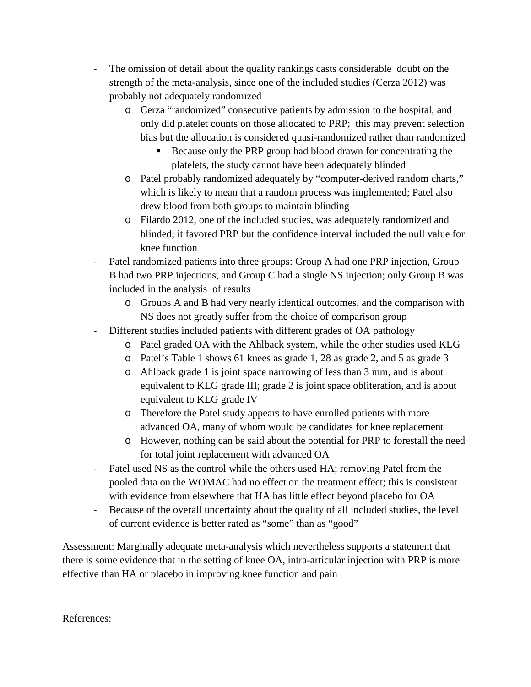- The omission of detail about the quality rankings casts considerable doubt on the strength of the meta-analysis, since one of the included studies (Cerza 2012) was probably not adequately randomized
	- o Cerza "randomized" consecutive patients by admission to the hospital, and only did platelet counts on those allocated to PRP; this may prevent selection bias but the allocation is considered quasi-randomized rather than randomized
		- Because only the PRP group had blood drawn for concentrating the platelets, the study cannot have been adequately blinded
	- o Patel probably randomized adequately by "computer-derived random charts," which is likely to mean that a random process was implemented; Patel also drew blood from both groups to maintain blinding
	- o Filardo 2012, one of the included studies, was adequately randomized and blinded; it favored PRP but the confidence interval included the null value for knee function
- Patel randomized patients into three groups: Group A had one PRP injection, Group B had two PRP injections, and Group C had a single NS injection; only Group B was included in the analysis of results
	- o Groups A and B had very nearly identical outcomes, and the comparison with NS does not greatly suffer from the choice of comparison group
- Different studies included patients with different grades of OA pathology
	- o Patel graded OA with the Ahlback system, while the other studies used KLG
	- o Patel's Table 1 shows 61 knees as grade 1, 28 as grade 2, and 5 as grade 3
	- o Ahlback grade 1 is joint space narrowing of less than 3 mm, and is about equivalent to KLG grade III; grade 2 is joint space obliteration, and is about equivalent to KLG grade IV
	- o Therefore the Patel study appears to have enrolled patients with more advanced OA, many of whom would be candidates for knee replacement
	- o However, nothing can be said about the potential for PRP to forestall the need for total joint replacement with advanced OA
- Patel used NS as the control while the others used HA; removing Patel from the pooled data on the WOMAC had no effect on the treatment effect; this is consistent with evidence from elsewhere that HA has little effect beyond placebo for OA
- Because of the overall uncertainty about the quality of all included studies, the level of current evidence is better rated as "some" than as "good"

Assessment: Marginally adequate meta-analysis which nevertheless supports a statement that there is some evidence that in the setting of knee OA, intra-articular injection with PRP is more effective than HA or placebo in improving knee function and pain